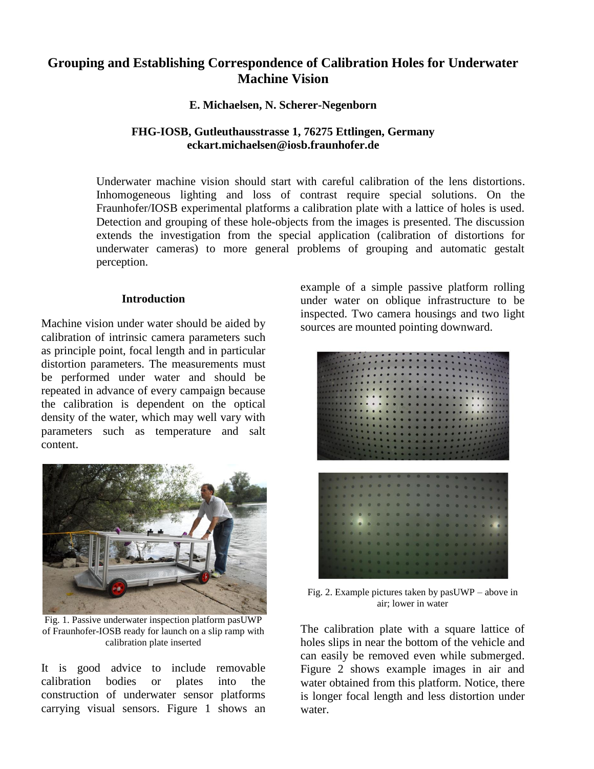# **Grouping and Establishing Correspondence of Calibration Holes for Underwater Machine Vision**

**E. Michaelsen, N. Scherer-Negenborn**

# **FHG-IOSB, Gutleuthausstrasse 1, 76275 Ettlingen, Germany eckart.michaelsen@iosb.fraunhofer.de**

Underwater machine vision should start with careful calibration of the lens distortions. Inhomogeneous lighting and loss of contrast require special solutions. On the Fraunhofer/IOSB experimental platforms a calibration plate with a lattice of holes is used. Detection and grouping of these hole-objects from the images is presented. The discussion extends the investigation from the special application (calibration of distortions for underwater cameras) to more general problems of grouping and automatic gestalt perception.

#### **Introduction**

Machine vision under water should be aided by calibration of intrinsic camera parameters such as principle point, focal length and in particular distortion parameters. The measurements must be performed under water and should be repeated in advance of every campaign because the calibration is dependent on the optical density of the water, which may well vary with parameters such as temperature and salt content.



Fig. 1. Passive underwater inspection platform pasUWP of Fraunhofer-IOSB ready for launch on a slip ramp with calibration plate inserted

It is good advice to include removable calibration bodies or plates into the construction of underwater sensor platforms carrying visual sensors. Figure 1 shows an example of a simple passive platform rolling under water on oblique infrastructure to be inspected. Two camera housings and two light sources are mounted pointing downward.



Fig. 2. Example pictures taken by pasUWP – above in air; lower in water

The calibration plate with a square lattice of holes slips in near the bottom of the vehicle and can easily be removed even while submerged. Figure 2 shows example images in air and water obtained from this platform. Notice, there is longer focal length and less distortion under water.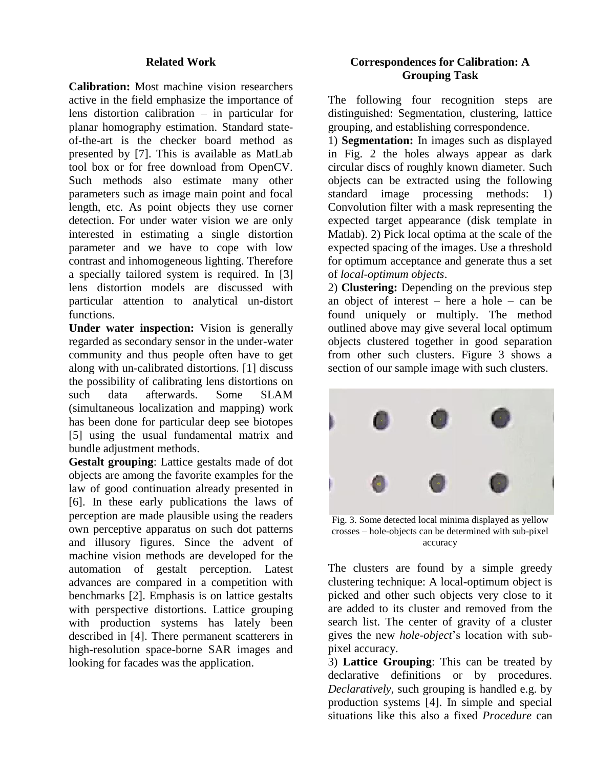### **Related Work**

**Calibration:** Most machine vision researchers active in the field emphasize the importance of lens distortion calibration – in particular for planar homography estimation. Standard stateof-the-art is the checker board method as presented by [7]. This is available as MatLab tool box or for free download from OpenCV. Such methods also estimate many other parameters such as image main point and focal length, etc. As point objects they use corner detection. For under water vision we are only interested in estimating a single distortion parameter and we have to cope with low contrast and inhomogeneous lighting. Therefore a specially tailored system is required. In [3] lens distortion models are discussed with particular attention to analytical un-distort functions.

**Under water inspection:** Vision is generally regarded as secondary sensor in the under-water community and thus people often have to get along with un-calibrated distortions. [1] discuss the possibility of calibrating lens distortions on such data afterwards. Some SLAM (simultaneous localization and mapping) work has been done for particular deep see biotopes [5] using the usual fundamental matrix and bundle adjustment methods.

**Gestalt grouping**: Lattice gestalts made of dot objects are among the favorite examples for the law of good continuation already presented in [6]. In these early publications the laws of perception are made plausible using the readers own perceptive apparatus on such dot patterns and illusory figures. Since the advent of machine vision methods are developed for the automation of gestalt perception. Latest advances are compared in a competition with benchmarks [2]. Emphasis is on lattice gestalts with perspective distortions. Lattice grouping with production systems has lately been described in [4]. There permanent scatterers in high-resolution space-borne SAR images and looking for facades was the application.

# **Correspondences for Calibration: A Grouping Task**

The following four recognition steps are distinguished: Segmentation, clustering, lattice grouping, and establishing correspondence.

1) **Segmentation:** In images such as displayed in Fig. 2 the holes always appear as dark circular discs of roughly known diameter. Such objects can be extracted using the following standard image processing methods: 1) Convolution filter with a mask representing the expected target appearance (disk template in Matlab). 2) Pick local optima at the scale of the expected spacing of the images. Use a threshold for optimum acceptance and generate thus a set of *local-optimum objects*.

2) **Clustering:** Depending on the previous step an object of interest – here a hole – can be found uniquely or multiply. The method outlined above may give several local optimum objects clustered together in good separation from other such clusters. Figure 3 shows a section of our sample image with such clusters.



Fig. 3. Some detected local minima displayed as yellow crosses – hole-objects can be determined with sub-pixel accuracy

The clusters are found by a simple greedy clustering technique: A local-optimum object is picked and other such objects very close to it are added to its cluster and removed from the search list. The center of gravity of a cluster gives the new *hole-object*'s location with subpixel accuracy.

3) **Lattice Grouping**: This can be treated by declarative definitions or by procedures. *Declaratively*, such grouping is handled e.g. by production systems [4]. In simple and special situations like this also a fixed *Procedure* can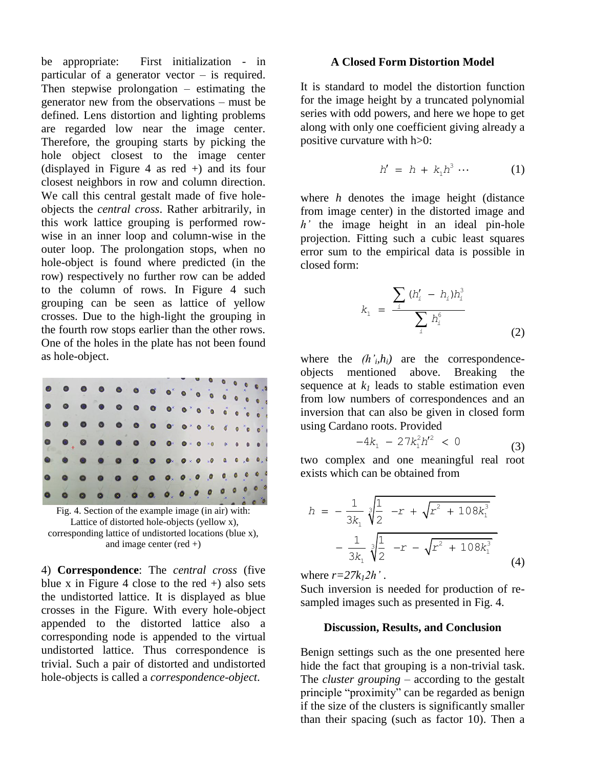be appropriate: First initialization - in particular of a generator vector – is required. Then stepwise prolongation – estimating the generator new from the observations – must be defined. Lens distortion and lighting problems are regarded low near the image center. Therefore, the grouping starts by picking the hole object closest to the image center (displayed in Figure 4 as red +) and its four closest neighbors in row and column direction. We call this central gestalt made of five holeobjects the *central cross*. Rather arbitrarily, in this work lattice grouping is performed rowwise in an inner loop and column-wise in the outer loop. The prolongation stops, when no hole-object is found where predicted (in the row) respectively no further row can be added to the column of rows. In Figure 4 such grouping can be seen as lattice of yellow crosses. Due to the high-light the grouping in the fourth row stops earlier than the other rows. One of the holes in the plate has not been found as hole-object.



Lattice of distorted hole-objects (yellow x), corresponding lattice of undistorted locations (blue x), and image center  $(\text{red } +)$ 

4) **Correspondence**: The *central cross* (five blue x in Figure 4 close to the red  $+$ ) also sets the undistorted lattice. It is displayed as blue crosses in the Figure. With every hole-object appended to the distorted lattice also a corresponding node is appended to the virtual undistorted lattice. Thus correspondence is trivial. Such a pair of distorted and undistorted hole-objects is called a *correspondence-object*.

#### **A Closed Form Distortion Model**

It is standard to model the distortion function for the image height by a truncated polynomial series with odd powers, and here we hope to get along with only one coefficient giving already a positive curvature with h>0:

$$
h' = h + k_1 h^3 \cdots \qquad (1)
$$

where *h* denotes the image height (distance from image center) in the distorted image and *h'* the image height in an ideal pin-hole projection. Fitting such a cubic least squares error sum to the empirical data is possible in closed form:

$$
k_{1} = \frac{\sum_{i} (h'_{i} - h_{i}) h_{i}^{3}}{\sum_{i} h_{i}^{6}}
$$
 (2)

where the  $(h<sub>i</sub>h<sub>i</sub>)$  are the correspondenceobjects mentioned above. Breaking the sequence at  $k_l$  leads to stable estimation even from low numbers of correspondences and an inversion that can also be given in closed form using Cardano roots. Provided

$$
4k_1 - 27k_1^2h'^2 < 0 \tag{3}
$$

two complex and one meaningful real root exists which can be obtained from

$$
h = -\frac{1}{3k_1} \sqrt[3]{\frac{1}{2} -r + \sqrt{r^2 + 108k_1^3}}
$$

$$
-\frac{1}{3k_1} \sqrt[3]{\frac{1}{2} -r - \sqrt{r^2 + 108k_1^3}}
$$
(4)

where  $r=27k_12h'$ .

Such inversion is needed for production of resampled images such as presented in Fig. 4.

#### **Discussion, Results, and Conclusion**

Benign settings such as the one presented here hide the fact that grouping is a non-trivial task. The *cluster grouping* – according to the gestalt principle "proximity" can be regarded as benign if the size of the clusters is significantly smaller than their spacing (such as factor 10). Then a